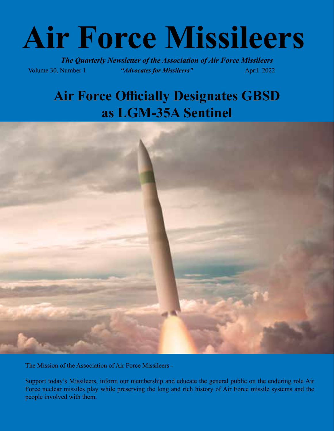# **Air Force Missileers**

*The Quarterly Newsletter of the Association of Air Force Missileers* Volume 30, Number 1 *"Advocates for Missileers"* April 2022

# **Air Force Officially Designates GBSD as LGM-35A Sentinel**



The Mission of the Association of Air Force Missileers -

Support today's Missileers, inform our membership and educate the general public on the enduring role Air Force nuclear missiles play while preserving the long and rich history of Air Force missile systems and the people involved with them.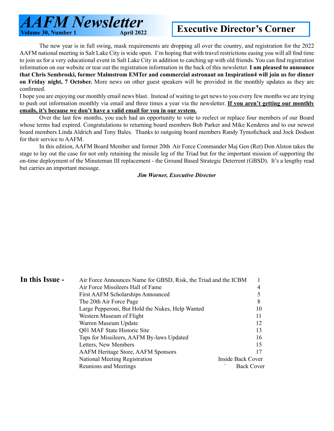

# **Executive Director's Corner**

The new year is in full swing, mask requirements are dropping all over the country, and registration for the 2022 AAFM national meeting in Salt Lake City is wide open. I'm hoping that with travel restrictions easing you will all find time to join us for a very educational event in Salt Lake City in addition to catching up with old friends. You can find registration information on our website or tear out the registration information in the back of this newsletter. **I am pleased to announce that Chris Sembroski, former Malmstrom EMTer and commercial astronaut on Inspiration4 will join us for dinner on Friday night, 7 October.** More news on other guest speakers will be provided in the monthly updates as they are confirmed.

I hope you are enjoying our monthly email news blast. Instead of waiting to get news to you every few months we are trying to push out information monthly via email and three times a year via the newsletter. **If you aren't getting our monthly emails, it's because we don't have a valid email for you in our system.**

Over the last few months, you each had an opportunity to vote to reelect or replace four members of our Board whose terms had expired. Congratulations to returning board members Bob Parker and Mike Kenderes and to our newest board members Linda Aldrich and Tony Bales. Thanks to outgoing board members Randy Tymofichuck and Jock Dodson for their service to AAFM.

In this edition, AAFM Board Member and former 20th Air Force Commander Maj Gen (Ret) Don Alston takes the stage to lay out the case for not only retaining the missile leg of the Triad but for the important mission of supporting the on-time deployment of the Minuteman III replacement - the Ground Based Strategic Deterrent (GBSD). It's a lengthy read but carries an important message.

*Jim Warner, Executive Director*

| In this Issue - | Air Force Announces Name for GBSD, Risk, the Triad and the ICBM |                   |
|-----------------|-----------------------------------------------------------------|-------------------|
|                 | Air Force Missileers Hall of Fame                               | 4                 |
|                 | First AAFM Scholarships Announced                               |                   |
|                 | The 20th Air Force Page                                         | 8                 |
|                 | Large Pepperoni, But Hold the Nukes, Help Wanted                | 10                |
|                 | Western Museum of Flight                                        | 11                |
|                 | Warren Museum Update                                            | 12                |
|                 | Q01 MAF State Historic Site                                     | 13                |
|                 | Taps for Missileers, AAFM By-laws Updated                       | 16                |
|                 | Letters, New Members                                            | 15                |
|                 | AAFM Heritage Store, AAFM Sponsors                              | 17                |
|                 | Inside Back Cover<br>National Meeting Registration              |                   |
|                 | Reunions and Meetings                                           | <b>Back Cover</b> |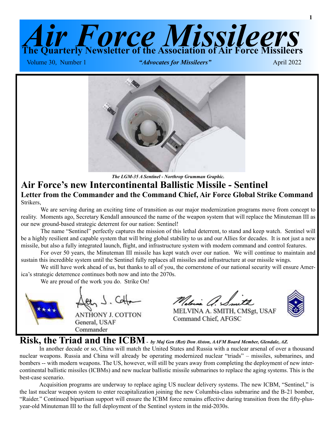



#### *The LGM-35 A Sentinel - Northrop Grumman Graphic.* **Air Force's new Intercontinental Ballistic Missile - Sentinel Letter from the Commander and the Command Chief, Air Force Global Strike Command** Strikers,

We are serving during an exciting time of transition as our major modernization programs move from concept to reality. Moments ago, Secretary Kendall announced the name of the weapon system that will replace the Minuteman III as our new ground-based strategic deterrent for our nation: Sentinel!

The name "Sentinel" perfectly captures the mission of this lethal deterrent, to stand and keep watch. Sentinel will be a highly resilient and capable system that will bring global stability to us and our Allies for decades. It is not just a new missile, but also a fully integrated launch, flight, and infrastructure system with modern command and control features.

For over 50 years, the Minuteman III missile has kept watch over our nation. We will continue to maintain and sustain this incredible system until the Sentinel fully replaces all missiles and infrastructure at our missile wings.

We still have work ahead of us, but thanks to all of you, the cornerstone of our national security will ensure America's strategic deterrence continues both now and into the 2070s.

We are proud of the work you do. Strike On!



 $t_{\text{th}}$   $\sqrt{2}$ . Coff

ANTHONY J. COTTON General, USAF Commander

Melvina A. Smith

MELVINA A. SMITH, CMSgt, USAF Command Chief, AFGSC



#### **Risk, the Triad and the ICBM** *- by Maj Gen (Ret) Don Alston, AAFM Board Member, Glendale, AZ.*

In another decade or so, China will match the United States and Russia with a nuclear arsenal of over a thousand nuclear weapons. Russia and China will already be operating modernized nuclear "triads" – missiles, submarines, and bombers -- with modern weapons. The US, however, will still be years away from completing the deployment of new intercontinental ballistic missiles (ICBMs) and new nuclear ballistic missile submarines to replace the aging systems. This is the best-case scenario.

Acquisition programs are underway to replace aging US nuclear delivery systems. The new ICBM, "Sentinel," is the last nuclear weapon system to enter recapitalization joining the new Columbia-class submarine and the B-21 bomber, "Raider." Continued bipartisan support will ensure the ICBM force remains effective during transition from the fifty-plusyear-old Minuteman III to the full deployment of the Sentinel system in the mid-2030s.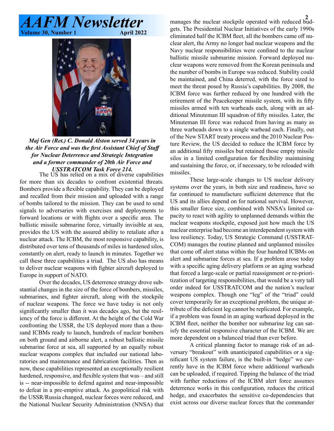# *AAFM Newsletter*<br><sup>olume 30, Number 1</sup> **Volume 30, Number 1**



*Maj Gen (Ret.) C. Donald Alston served 34 years in the Air Force and was the first Assistant Chief of Staff for Nuclear Deterrence and Strategic Integration and a former commander of 20th Air Force and USSTRATCOM Task Force 214.*

The US has relied on a mix of diverse capabilities for more than six decades to confront existential threats. Bombers provide a flexible capability. They can be deployed and recalled from their mission and uploaded with a range of bombs tailored to the mission. They can be used to send signals to adversaries with exercises and deployments to forward locations or with flights over a specific area. The ballistic missile submarine force, virtually invisible at sea, provides the US with the assured ability to retaliate after a nuclear attack. The ICBM, the most responsive capability, is distributed over tens of thousands of miles in hardened silos, constantly on alert, ready to launch in minutes. Together we call these three capabilities a triad. The US also has means to deliver nuclear weapons with fighter aircraft deployed to Europe in support of NATO.

Over the decades, US deterrence strategy drove substantial changes in the size of the force of bombers, missiles, submarines, and fighter aircraft, along with the stockpile of nuclear weapons. The force we have today is not only significantly smaller than it was decades ago, but the resiliency of the force is different. At the height of the Cold War confronting the USSR, the US deployed more than a thousand ICBMs ready to launch, hundreds of nuclear bombers on both ground and airborne alert, a robust ballistic missile submarine force at sea, all supported by an equally robust nuclear weapons complex that included our national laboratories and maintenance and fabrication facilities. Then as now, these capabilities represented an exceptionally resilient hardened, responsive, and flexible system that was – and still is -- near-impossible to defend against and near-impossible to defeat in a pre-emptive attack. As geopolitical risk with the USSR/Russia changed, nuclear forces were reduced, and the National Nuclear Security Administration (NNSA) that

manages the nuclear stockpile operated with reduced budgets. The Presidential Nuclear Initiatives of the early 1990s eliminated half the ICBM fleet, all the bombers came off nuclear alert, the Army no longer had nuclear weapons and the Navy nuclear responsibilities were confined to the nuclear ballistic missile submarine mission. Forward deployed nuclear weapons were removed from the Korean peninsula and the number of bombs in Europe was reduced. Stability could be maintained, and China deterred, with the force sized to meet the threat posed by Russia's capabilities. By 2008, the ICBM force was further reduced by one hundred with the retirement of the Peacekeeper missile system, with its fifty missiles armed with ten warheads each, along with an additional Minuteman III squadron of fifty missiles. Later, the Minuteman III force was reduced from having as many as three warheads down to a single warhead each. Finally, out of the New START treaty process and the 2010 Nuclear Posture Review, the US decided to reduce the ICBM force by an additional fifty missiles but retained those empty missile silos in a limited configuration for flexibility maintaining and sustaining the force, or, if necessary, to be reloaded with missiles.

These large-scale changes to US nuclear delivery systems over the years, in both size and readiness, have so far continued to manufacture sufficient deterrence that the US and its allies depend on for national survival. However, this smaller force size, combined with NNSA's limited capacity to react with agility to unplanned demands within the nuclear weapons stockpile, exposed just how much the US nuclear enterprise had become an interdependent system with less resiliency. Today, US Strategic Command (USSTRAT-COM) manages the routine planned and unplanned missiles that come off alert status within the four hundred ICBMs on alert and submarine forces at sea. If a problem arose today with a specific aging delivery platform or an aging warhead that forced a large-scale or partial reassignment or re-prioritization of targeting responsibilities, that would be a very tall order indeed for USSTRATCOM and the nation's nuclear weapons complex. Though one "leg" of the "triad" could cover temporarily for an exceptional problem, the unique attribute of the deficient leg cannot be replicated. For example, if a problem was found in an aging warhead deployed in the ICBM fleet, neither the bomber nor submarine leg can satisfy the essential responsive character of the ICBM. We are more dependent on a balanced triad than ever before.

A critical planning factor to manage risk of an adversary "breakout" with unanticipated capabilities or a significant US system failure, is the built-in "hedge" we currently have in the ICBM force where additional warheads can be uploaded, if required. Tipping the balance of the triad with further reductions of the ICBM alert force assumes deterrence works in this configuration, reduces the critical hedge, and exacerbates the sensitive co-dependencies that exist across our diverse nuclear forces that the commander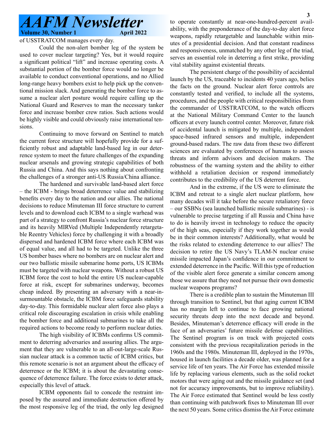#### of USSTRATCOM manages every day.

Could the non-alert bomber leg of the system be used to cover nuclear targeting? Yes, but it would require a significant political "lift" and increase operating costs. A substantial portion of the bomber force would no longer be available to conduct conventional operations, and no Allied long-range heavy bombers exist to help pick up the conventional mission slack. And generating the bomber force to assume a nuclear alert posture would require calling up the National Guard and Reserves to man the necessary tanker force and increase bomber crew ratios. Such actions would be highly visible and could obviously raise international tensions.

Continuing to move forward on Sentinel to match the current force structure will hopefully provide for a sufficiently robust and adaptable land-based leg in our deterrence system to meet the future challenges of the expanding nuclear arsenals and growing strategic capabilities of both Russia and China. And this says nothing about confronting the challenges of a stronger anti-US Russia/China alliance.

The hardened and survivable land-based alert force – the ICBM - brings broad deterrence value and stabilizing benefits every day to the nation and our allies. The national decisions to reduce Minuteman III force structure to current levels and to download each ICBM to a single warhead was part of a strategy to confront Russia's nuclear force structure and its heavily MIRVed (Multiple Independently retargetable Reentry Vehicles) force by challenging it with a broadly dispersed and hardened ICBM force where each ICBM was of equal value, and all had to be targeted. Unlike the three US bomber bases where no bombers are on nuclear alert and our two ballistic missile submarine home ports, US ICBMs must be targeted with nuclear weapons. Without a robust US ICBM force the cost to hold the entire US nuclear-capable force at risk, except for submarines underway, becomes cheap indeed. By presenting an adversary with a near-insurmountable obstacle, the ICBM force safeguards stability day-to-day. This formidable nuclear alert force also plays a critical role discouraging escalation in crisis while enabling the bomber force and additional submarines to take all the required actions to become ready to perform nuclear duties.

The high visibility of ICBMs confirms US commitment to deterring adversaries and assuring allies. The argument that they are vulnerable to an all-out-large-scale Russian nuclear attack is a common tactic of ICBM critics, but this remote scenario is not an argument about the efficacy of deterrence or the ICBM; it is about the devastating consequence of deterrence failure. The force exists to deter attack, especially this level of attack.

ICBM opponents fail to concede the restraint imposed by the assured and immediate destruction offered by the most responsive leg of the triad, the only leg designed to operate constantly at near-one-hundred-percent availability, with the preponderance of the day-to-day alert force weapons, rapidly retargetable and launchable within minutes of a presidential decision. And that constant readiness and responsiveness, unmatched by any other leg of the triad, serves an essential role in deterring a first strike, providing vital stability against existential threats.

The persistent charge of the possibility of accidental launch by the US, traceable to incidents 40 years ago, belies the facts on the ground. Nuclear alert force controls are constantly tested and verified, to include all the systems, procedures, and the people with critical responsibilities from the commander of USSTRATCOM, to the watch officers at the National Military Command Center to the launch officers at every launch control center. Moreover, future risk of accidental launch is mitigated by multiple, independent space-based infrared sensors and multiple, independent ground-based radars. The raw data from these two different sciences are evaluated by conferences of humans to assess threats and inform advisors and decision makers. The robustness of the warning system and the ability to either withhold a retaliation decision or respond immediately contributes to the credibility of the US deterrent force.

And in the extreme, if the US were to eliminate the ICBM and retreat to a single alert nuclear platform, how many decades will it take before the secure retaliatory force – our SSBNs (sea launched ballistic missile submarines) - is vulnerable to precise targeting if all Russia and China have to do is heavily invest in technology to reduce the opacity of the high seas, especially if they work together as would be in their common interests? Additionally, what would be the risks related to extending deterrence to our allies? The decision to retire the US Navy's TLAM-N nuclear cruise missile impacted Japan's confidence in our commitment to extended deterrence in the Pacific. Will this type of reduction of the visible alert force generate a similar concern among those we assure that they need not pursue their own domestic nuclear weapons programs?

There is a credible plan to sustain the Minuteman III through transition to Sentinel, but that aging current ICBM has no margin left to continue to face growing national security threats deep into the next decade and beyond. Besides, Minuteman's deterrence efficacy will erode in the face of an adversaries' future missile defense capabilities. The Sentinel program is on track with projected costs consistent with the previous recapitalization periods in the 1960s and the 1980s. Minuteman III, deployed in the 1970s, housed in launch facilities a decade older, was planned for a service life of ten years. The Air Force has extended missile life by replacing various elements, such as the solid rocket motors that were aging out and the missile guidance set (and not for accuracy improvements, but to improve reliability). The Air Force estimated that Sentinel would be less costly than continuing with patchwork fixes to Minuteman III over the next 50 years. Some critics dismiss the Air Force estimate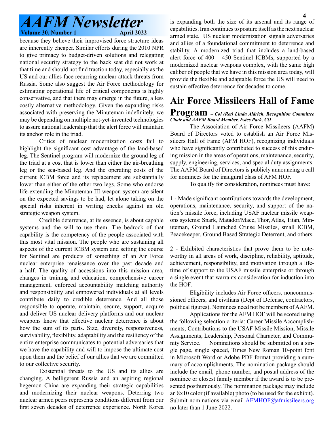because they believe their improvised force structure ideas are inherently cheaper. Similar efforts during the 2010 NPR to give primacy to budget-driven solutions and relegating national security strategy to the back seat did not work at that time and should not find traction today, especially as the US and our allies face recurring nuclear attack threats from Russia. Some also suggest the Air Force methodology for estimating operational life of critical components is highly conservative, and that there may emerge in the future, a less costly alternative methodology. Given the expanding risks associated with preserving the Minuteman indefinitely, we may be depending on multiple not-yet-invented technologies to assure national leadership that the alert force will maintain its anchor role in the triad.

Critics of nuclear modernization costs fail to highlight the significant cost advantage of the land-based leg. The Sentinel program will modernize the ground leg of the triad at a cost that is lower than either the air-breathing leg or the sea-based leg. And the operating costs of the current ICBM force and its replacement are substantially lower than either of the other two legs. Some who endorse life-extending the Minuteman III weapon system are silent on the expected savings to be had, let alone taking on the special risks inherent in writing checks against an old strategic weapon system.

Credible deterrence, at its essence, is about capable systems and the will to use them. The bedrock of that capability is the competency of the people associated with this most vital mission. The people who are sustaining all aspects of the current ICBM system and setting the course for Sentinel are products of something of an Air Force nuclear enterprise renaissance over the past decade and a half. The quality of accessions into this mission area, changes in training and education, comprehensive career management, enforced accountability matching authority and responsibility and empowered individuals at all levels contribute daily to credible deterrence. And all those responsible to operate, maintain, secure, support, acquire and deliver US nuclear delivery platforms and our nuclear weapons know that effective nuclear deterrence is about how the sum of its parts. Size, diversity, responsiveness, survivability, flexibility, adaptability and the resiliency of the entire enterprise communicates to potential adversaries that we have the capability and will to impose the ultimate cost upon them and the belief of our allies that we are committed to our collective security.

Existential threats to the US and its allies are changing. A belligerent Russia and an aspiring regional hegemon China are expanding their strategic capabilities and modernizing their nuclear weapons. Deterring two nuclear armed peers represents conditions different from our first seven decades of deterrence experience. North Korea

is expanding both the size of its arsenal and its range of capabilities. Iran continues to posture itself as the next nuclear armed state. US nuclear modernization signals adversaries and allies of a foundational commitment to deterrence and stability. A modernized triad that includes a land-based alert force of 400 – 450 Sentinel ICBMs, supported by a modernized nuclear weapons complex, with the same high caliber of people that we have in this mission area today, will provide the flexible and adaptable force the US will need to sustain effective deterrence for decades to come.

# **Air Force Missileers Hall of Fame**

#### **Program** *– Col (Ret) Linda Aldrich, Recognition Committee Chair and AAFM Board Member, Estes Park, CO*

The Association of Air Force Missileers (AAFM) Board of Directors voted to establish an Air Force Missileers Hall of Fame (AFM HOF), recognizing individuals who have significantly contributed to success of this enduring mission in the areas of operations, maintenance, security, supply, engineering, services, and special duty assignments. The AAFM Board of Directors is publicly announcing a call for nominees for the inaugural class of AFM HOF.

To qualify for consideration, nominees must have:

1 - Made significant contributions towards the development, operations, maintenance, security, and support of the nation's missile force, including USAF nuclear missile weapons systems: Snark, Matador/Mace, Thor, Atlas, Titan, Minuteman, Ground Launched Cruise Missiles, small ICBM, Peacekeeper, Ground Based Strategic Deterrent, and others.

2 - Exhibited characteristics that prove them to be noteworthy in all areas of work, discipline, reliability, aptitude, achievement, responsibility, and motivation through a lifetime of support to the USAF missile enterprise or through a single event that warrants consideration for induction into the HOF.

Eligibility includes Air Force officers, noncommissioned officers, and civilians (Dept of Defense, contractors, political figures). Nominees need not be members of AAFM.

Applications for the AFM HOF will be scored using the following selection criteria: Career Missile Accomplishments, Contributions to the USAF Missile Mission, Missile Assignments, Leadership, Personal Character, and Community Service. Nominations should be submitted on a single page, single spaced, Times New Roman 10-point font in Microsoft Word or Adobe PDF format providing a summary of accomplishments. The nomination package should include the email, phone number, and postal address of the nominee or closest family member if the award is to be presented posthumously. The nomination package may include an 8x10 color (if available) photo (to be used for the exhibit). Submit nominations via email AFMHOF@afmissileers.org no later than 1 June 2022.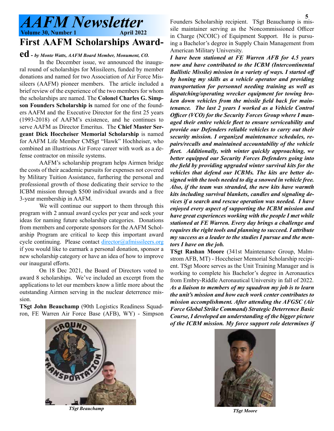# *AAFM Newsletter* **Volume 30, Number 1 First AAFM Scholarships Award-**

#### **ed** *- by Monte Watts, AAFM Board Member, Monument, CO.*

In the December issue, we announced the inaugural round of scholarships for Missileers, funded by member donations and named for two Association of Air Force Missileers (AAFM) pioneer members. The article included a brief review of the experience of the two members for whom the scholarships are named. The **Colonel Charles G. Simpson Founders Scholarship is** named for one of the founders AAFM and the Executive Director for the first 25 years (1993-2018) of AAFM's existence, and he continues to serve AAFM as Director Emeritus. The **Chief Master Sergeant Dick Hoccheiser Memorial Scholarship** is named for AAFM Life Member CMSgt "Hawk" Hochheiser, who combined an illustrious Air Force career with work as a defense contractor on missile systems.

AAFM's scholarship program helps Airmen bridge the costs of their academic pursuits for expenses not covered by Military Tuition Assistance, furthering the personal and professional growth of those dedicating their service to the ICBM mission through \$500 individual awards and a free 3-year membership in AAFM.

We will continue our support to them through this program with 2 annual award cycles per year and seek your ideas for naming future scholarship categories. Donations from members and corporate sponsors for the AAFM Scholarship Program are critical to keep this important award cycle continuing. Please contact director@afmissileers.org if you would like to earmark a personal donation, sponsor a new scholarship category or have an idea of how to improve our inaugural efforts.

On 18 Dec 2021, the Board of Directors voted to award 8 scholarships. We've included an excerpt from the applications to let our members know a little more about the outstanding Airmen serving in the nuclear deterrence mission.

**TSgt John Beauchamp** (90th Logistics Readiness Squadron, FE Warren Air Force Base (AFB), WY) - Simpson

Founders Scholarship recipient. TSgt Beauchamp is missile maintainer serving as the Noncommissioned Officer in Charge (NCOIC) of Equipment Support. He is pursuing a Bachelor's degree in Supply Chain Management from American Military University.

*I have been stationed at FE Warren AFB for 4.5 years now and have contributed to the ICBM (Intercontinental Ballistic Missile) mission in a variety of ways. I started off by honing my skills as a vehicle operator and providing transportation for personnel needing training as well as dispatching/operating wrecker equipment for towing broken down vehicles from the missile field back for maintenance. The last 2 years I worked as a Vehicle Control Officer (VCO) for the Security Forces Group where I managed their entire vehicle fleet to ensure serviceability and provide our Defenders reliable vehicles to carry out their security mission. I organized maintenance schedules, repairs/recalls and maintained accountability of the vehicle fleet. Additionally, with winter quickly approaching, we better equipped our Security Forces Defenders going into the field by providing upgraded winter survival kits for the vehicles that defend our ICBMs. The kits are better designed with the tools needed to dig a snowed in vehicle free. Also, if the team was stranded, the new kits have warmth kits including survival blankets, candles and signaling devices if a search and rescue operation was needed. I have enjoyed every aspect of supporting the ICBM mission and have great experiences working with the people I met while stationed at FE Warren. Every day brings a challenge and requires the right tools and planning to succeed. I attribute my success as a leader to the studies I pursue and the mentors I have on the job.*

**TSgt Rashan Moore** (341st Maintenance Group, Malmstrom AFB, MT) - Hoccheiser Memorial Scholarship recipient. TSgt Moore serves as the Unit Training Manager and is working to complete his Bachelor's degree in Aeronautics from Embry-Riddle Aeronautical University in fall of 2022. *As a liaison to members of my squadron my job is to learn the unit's mission and how each work center contributes to mission accomplishment. After attending the AFGSC (Air Force Global Strike Command) Strategic Deterrence Basic Course, I developed an understanding of the bigger picture of the ICBM mission. My force support role determines if* 



*TSgt Beauchamp*



*TSgt Moore*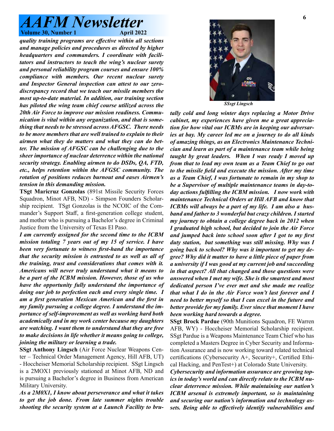*quality training programs are effective within all sections and manage policies and procedures as directed by higher headquarters and commanders. I coordinate with facilitators and instructors to teach the wing's nuclear surety and personal reliability program courses and ensure 100% compliance with members. Our recent nuclear surety and Inspector General inspection can attest to our zerodiscrepancy record that we teach our missile members the most up-to-date material. In addition, our training section has piloted the wing team chief course utilized across the 20th Air Force to improve our mission readiness. Communication is vital within any organization, and that is something that needs to be stressed across AFGSC. There needs to be more members that are well trained to explain to their airmen what they do matters and what they can do better. The mission of AFGSC can be challenging due to the sheer importance of nuclear deterrence within the national security strategy. Enabling airmen to do DSDs, QA, FTD, etc., helps retention within the AFGSC community. The rotation of positions reduces burnout and eases Airmen's tension in this demanding mission.* 

**TSgt Maricruz Gonzolas** (891st Missile Security Forces Squadron, Minot AFB, ND) - Simpson Founders Scholarship recipient. TSgt Gonzolas is the NCOIC of the Commander's Support Staff, a first-generation college student, and mother who is pursuing a Bachelor's degree in Criminal Justice from the University of Texas El Paso.

*I am currently assigned for the second time to the ICBM mission totaling 7 years out of my 15 of service. I have been very fortunate to witness first-hand the importance that the security mission is entrusted to as well as all of the training, trust and considerations that comes with it. Americans will never truly understand what it means to be a part of the ICBM mission. However, those of us who have the opportunity fully understand the importance of doing our job to perfection each and every single time. I am a first generation Mexican American and the first in my family pursuing a college degree. I understand the importance of self-improvement as well as working hard both academically and in my work center because my daughters are watching. I want them to understand that they are free to make decisions in life whether it means going to college, joining the military or learning a trade.*

**SSgt Anthony Lingsch** (Air Force Nuclear Weapons Center – Technical Order Management Agency, Hill AFB, UT) - Hoccheiser Memorial Scholarship recipient. SSgt Lingsch is a 2MOX1 previously stationed at Minot AFB, ND and is pursuing a Bachelor's degree in Business from American Military University.

*As a 2M0X1, I know about perseverance and what it takes to get the job done. From late summer nights trouble shooting the security system at a Launch Facility to bru-*



*SSsgt Lingsch*

*tally cold and long winter days replacing a Motor Drive cabinet, my experiences have given me a great appreciation for how vital our ICBMs are in keeping our adversaries at bay. My career led me on a journey to do all kinds of amazing things, as an Electronics Maintenance Technician and learn as part of a maintenance team while being taught by great leaders. When I was ready I moved up from that to lead my own team as a Team Chief to go out to the missile field and execute the mission. After my time as a Team Chief, I was fortunate to remain in my shop to be a Supervisor of multiple maintenance teams in day-today actions fulfilling the ICBM mission. I now work with maintenance Technical Orders at Hill AFB and know that ICBMs will always be a part of my life. I am also a husband and father to 3 wonderful but crazy children. I started my journey to obtain a college degree back in 2012 when I graduated high school, but decided to join the Air Force and jumped back into school soon after I got to my first duty station, but something was still missing. Why was I going back to school? Why was it important to get my degree? Why did it matter to have a little piece of paper from a university if I was good at my current job and succeeding in that aspect? All that changed and those questions were answered when I met my wife. She is the smartest and most dedicated person I've ever met and she made me realize that what I do in the Air Force won't last forever and I need to better myself so that I can excel in the future and better provide for my family. Ever since that moment I have been working hard towards a degree.*

**SSgt Brock Pardue** (90th Munitions Squadron, FE Warren AFB, WY) - Hoccheiser Memorial Scholarship recipient. SSgt Pardue is a Weapons Maintenance Team Chief who has completed a Masters Degree in Cyber Security and Information Assurance and is now working toward related technical certifications (Cybersecurity A+, Security+, Certified Ethical Hacking, and PenTest+) at Colorado State University.

*Cybersecurity and information assurance are growing topics in today's world and can directly relate to the ICBM nuclear deterrence mission. While maintaining our nation's ICBM arsenal is extremely important, so is maintaining and securing our nation's information and technology assets. Being able to effectively identify vulnerabilities and*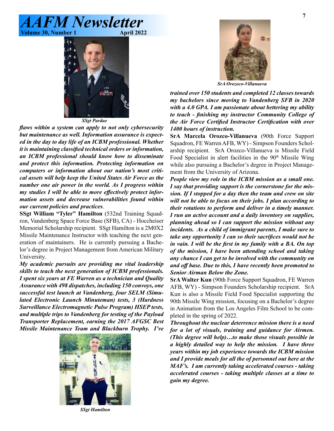

*SSgt Pardue*

*flaws within a system can apply to not only cybersecurity but maintenance as well. Information assurance is expected in the day to day life of an ICBM professional. Whether it is maintaining classified technical orders or information, an ICBM professional should know how to disseminate and protect this information. Protecting information on computers or information about our nation's most critical assets will help keep the United States Air Force as the number one air power in the world. As I progress within my studies I will be able to more effectively protect information assets and decrease vulnerabilities found within our current policies and practices*.

**SSgt William "Tyler" Hamilton** (532nd Training Squadron, Vandenberg Space Force Base (SFB), CA) - Hoccheiser Memorial Scholarship recipient. SSgt Hamilton is a 2M0X2 Missile Maintenance Instructor with teaching the next generation of maintainers. He is currently pursuing a Bachelor's degree in Project Management from American Military University.

*My academic pursuits are providing me vital leadership skills to teach the next generation of ICBM professionals. I spent six years at FE Warren as a technician and Quality Assurance with 498 dispatches, including 150 convoys, one successful test launch at Vandenberg, four SELM (Simulated Electronic Launch Minuteman) tests, 3 (Hardness Surveillance Electromagnetic Pulse Program) HSEP tests, and multiple trips to Vandenberg for testing of the Payload Transporter Replacement, earning the 2017 AFGSC Best Missile Maintenance Team and Blackburn Trophy. I've* 



*SrA Orozoco-Villanueva*

*trained over 150 students and completed 12 classes towards my bachelors since moving to Vandenberg SFB in 2020 with a 4.0 GPA. I am passionate about bettering my ability to teach - finishing my instructor Community College of the Air Force Certified Instructor Certification with over 1400 hours of instruction.*

**SrA Marcela Orozco-Villanueva** (90th Force Support Squadron, FE Warren AFB, WY) - Simpson Founders Scholarship recipient. SrA Orozco-Villanueva is Missile Field Food Specialist in alert facilities in the 90<sup>th</sup> Missile Wing while also pursuing a Bachelor's degree in Project Management from the University of Arizona.

*People view my role in the ICBM mission as a small one. I say that providing support is the cornerstone for the mission. If I stopped for a day then the team and crew on site will not be able to focus on their jobs. I plan according to their rotations to perform and deliver in a timely manner. I run an active account and a daily inventory on supplies, planning ahead so I can support the mission without any incidents. As a child of immigrant parents, I make sure to take any opportunity I can so their sacrifices would not be in vain. I will be the first in my family with a BA. On top of the mission, I have been attending school and taking any chance I can get to be involved with the community on and off base. Due to this, I have recently been promoted to Senior Airman Below the Zone.*

**SrA Walter Kun** (90th Force Support Squadron, FE Warren AFB, WY) - Simpson Founders Scholarship recipient. SrA Kun is also a Missile Field Food Specialist supporting the 90th Missile Wing mission, focusing on a Bachelor's degree in Animation from the Los Angeles Film School to be completed in the spring of 2022.

*Throughout the nuclear deterrence mission there is a need for a lot of visuals, training and guidance for Airmen. (This degree will help)…to make those visuals possible in a highly detailed way to help the mission. I have three years within my job experience towards the ICBM mission and I provide meals for all the of personnel out here at the MAF's. I am currently taking accelerated courses - taking accelerated courses - taking multiple classes at a time to gain my degree.*

*SSgt Hamilton*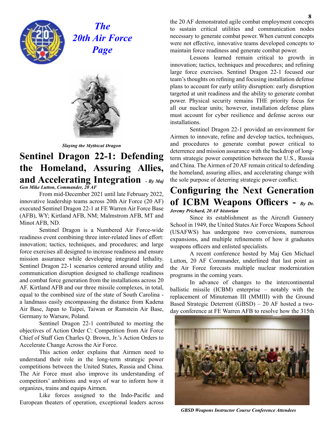

# *The 20th Air Force Page*



*Slaying the Mythical Dragon*

#### **Sentinel Dragon 22-1: Defending the Homeland, Assuring Allies, and Accelerating Integration** *- By Maj Gen Mike Lutton, Commander, 20 AF*

From mid-December 2021 until late February 2022, innovative leadership teams across 20th Air Force (20 AF) executed Sentinel Dragon 22-1 at FE Warren Air Force Base (AFB), WY; Kirtland AFB, NM; Malmstrom AFB, MT and Minot AFB, ND.

Sentinel Dragon is a Numbered Air Force-wide readiness event combining three inter-related lines of effort: innovation; tactics, techniques, and procedures; and large force exercises all designed to increase readiness and ensure mission assurance while developing integrated lethality. Sentinel Dragon 22-1 scenarios centered around utility and communication disruption designed to challenge readiness and combat force generation from the installations across 20 AF. Kirtland AFB and our three missile complexes, in total, equal to the combined size of the state of South Carolina a landmass easily encompassing the distance from Kadena Air Base, Japan to Taipei, Taiwan or Ramstein Air Base, Germany to Warsaw, Poland.

Sentinel Dragon 22-1 contributed to meeting the objectives of Action Order C: Competition from Air Force Chief of Staff Gen Charles Q. Brown, Jr.'s Action Orders to Accelerate Change Across the Air Force.

This action order explains that Airmen need to understand their role in the long-term strategic power competitions between the United States, Russia and China. The Air Force must also improve its understanding of competitors' ambitions and ways of war to inform how it organizes, trains and equips Airmen.

Like forces assigned to the Indo-Pacific and European theaters of operation, exceptional leaders across

the 20 AF demonstrated agile combat employment concepts to sustain critical utilities and communication nodes necessary to generate combat power. When current concepts were not effective, innovative teams developed concepts to maintain force readiness and generate combat power.

Lessons learned remain critical to growth in innovation; tactics, techniques and procedures; and refining large force exercises. Sentinel Dragon 22-1 focused our team's thoughts on refining and focusing installation defense plans to account for early utility disruption: early disruption targeted at unit readiness and the ability to generate combat power. Physical security remains THE priority focus for all our nuclear units; however, installation defense plans must account for cyber resilience and defense across our installations.

Sentinel Dragon 22-1 provided an environment for Airmen to innovate, refine and develop tactics, techniques, and procedures to generate combat power critical to deterrence and mission assurance with the backdrop of longterm strategic power competition between the U.S., Russia and China. The Airmen of 20 AF remain critical to defending the homeland, assuring allies, and accelerating change with the sole purpose of deterring strategic power conflict.

# **Configuring the Next Generation of ICBM Weapons Officers -** *By Dr.*

#### *Jeremy Prichard, 20 AF historian*

Since its establishment as the Aircraft Gunnery School in 1949, the United States Air Force Weapons School (USAFWS) has undergone two conversions, numerous expansions, and multiple refinements of how it graduates weapons officers and enlisted specialists.

A recent conference hosted by Maj Gen Michael Lutton, 20 AF Commander, underlined that last point as the Air Force forecasts multiple nuclear modernization programs in the coming years.

In advance of changes to the intercontinental ballistic missile (ICBM) enterprise – notably with the replacement of Minuteman III (MMIII) with the Ground Based Strategic Deterrent (GBSD) – 20 AF hosted a twoday conference at FE Warren AFB to resolve how the 315th



*GBSD Weapons Instructor Course Conference Attendees*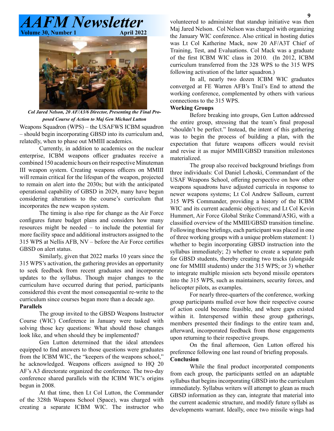

*Col Jared Nelson, 20 AF/A3/6 Director, Presenting the Final Proposed Course of Action to Maj Gen Michael Lutton*

Weapons Squadron (WPS) – the USAFWS ICBM squadron – should begin incorporating GBSD into its curriculum and, relatedly, when to phase out MMIII academics.

Currently, in addition to academics on the nuclear enterprise, ICBM weapons officer graduates receive a combined 150 academic hours on their respective Minuteman III weapon system. Creating weapons officers on MMIII will remain critical for the lifespan of the weapon, projected to remain on alert into the 2030s; but with the anticipated operational capability of GBSD in 2029, many have begun considering alterations to the course's curriculum that incorporates the new weapon system.

The timing is also ripe for change as the Air Force configures future budget plans and considers how many resources might be needed – to include the potential for more facility space and additional instructors assigned to the 315 WPS at Nellis AFB, NV – before the Air Force certifies GBSD on alert status.

Similarly, given that 2022 marks 10 years since the 315 WPS's activation, the gathering provides an opportunity to seek feedback from recent graduates and incorporate updates to the syllabus. Though major changes to the curriculum have occurred during that period, participants considered this event the most consequential re-write to the curriculum since courses began more than a decade ago. **Parallels**

The group invited to the GBSD Weapons Instructor Course (WIC) Conference in January were tasked with solving those key questions: What should those changes look like, and when should they be implemented?

Gen Lutton determined that the ideal attendees equipped to find answers to those questions were graduates from the ICBM WIC, the "keepers of the weapons school," he acknowledged. Weapons officers assigned to HQ 20 AF's A3 directorate organized the conference. The two-day conference shared parallels with the ICBM WIC's origins begun in 2008.

At that time, then Lt Col Lutton, the Commander of the 328th Weapons School (Space), was charged with creating a separate ICBM WIC. The instructor who volunteered to administer that standup initiative was then Maj Jared Nelson. Col Nelson was charged with organizing the January WIC conference. Also critical in hosting duties was Lt Col Katherine Mack, now 20 AF/A3T Chief of Training, Test, and Evaluations. Col Mack was a graduate of the first ICBM WIC class in 2010. (In 2012, ICBM curriculum transferred from the 328 WPS to the 315 WPS following activation of the latter squadron.)

In all, nearly two dozen ICBM WIC graduates converged at FE Warren AFB's Trail's End to attend the working conference, complemented by others with various connections to the 315 WPS.

#### **Working Groups**

Before breaking into groups, Gen Lutton addressed the entire group, stressing that the team's final proposal "shouldn't be perfect." Instead, the intent of this gathering was to begin the process of building a plan, with the expectation that future weapons officers would revisit and revise it as major MMIII/GBSD transition milestones materialized.

The group also received background briefings from three individuals: Col Daniel Lehoski, Commandant of the USAF Weapons School, offering perspective on how other weapons squadrons have adjusted curricula in response to newer weapons systems; Lt Col Andrew Salloum, current 315 WPS Commander, providing a history of the ICBM WIC and its current academic objectives; and Lt Col Kevin Hummert, Air Force Global Strike Command/A5IG, with a classified overview of the MMIII/GBSD transition timeline. Following those briefings, each participant was placed in one of three working groups with a unique problem statement: 1) whether to begin incorporating GBSD instruction into the syllabus immediately; 2) whether to create a separate path for GBSD students, thereby creating two tracks (alongside one for MMIII students) under the 315 WPS; or 3) whether to integrate multiple mission sets beyond missile operators into the 315 WPS, such as maintainers, security forces, and helicopter pilots, as examples.

For nearly three-quarters of the conference, working group participants mulled over how their respective course of action could become feasible, and where gaps existed within it. Interspersed within these group gatherings, members presented their findings to the entire team and, afterward, incorporated feedback from those engagements upon returning to their respective groups.

On the final afternoon, Gen Lutton offered his preference following one last round of briefing proposals. **Conclusion**

While the final product incorporated components from each group, the participants settled on an adaptable syllabus that begins incorporating GBSD into the curriculum immediately. Syllabus writers will attempt to glean as much GBSD information as they can, integrate that material into the current academic structure, and modify future syllabi as developments warrant. Ideally, once two missile wings had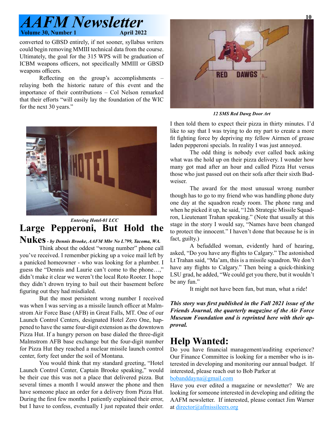# *<i>AFM Newsletter*<br>april 2022<br>April 2022 **Volume 30, Number 1**

converted to GBSD entirely, if not sooner, syllabus writers could begin removing MMIII technical data from the course. Ultimately, the goal for the 315 WPS will be graduation of ICBM weapons officers, not specifically MMIII or GBSD weapons officers.

Reflecting on the group's accomplishments – relaying both the historic nature of this event and the importance of their contributions – Col Nelson remarked that their efforts "will easily lay the foundation of the WIC for the next 30 years."



# **Large Pepperoni, But Hold the**  *Entering Hotel-01 LCC*

#### **Nukes** *- by Dennis Brooke, AAFM Mbr No L799, Tacoma, WA.*

Think about the oddest "wrong number" phone call you've received. I remember picking up a voice mail left by a panicked homeowner - who was looking for a plumber. I guess the "Dennis and Laurie can't come to the phone…," didn't make it clear we weren't the local Roto Rooter. I hope they didn't drown trying to bail out their basement before figuring out they had misdialed.

But the most persistent wrong number I received was when I was serving as a missile launch officer at Malmstrom Air Force Base (AFB) in Great Falls, MT. One of our Launch Control Centers, designated Hotel Zero One, happened to have the same four-digit extension as the downtown Pizza Hut. If a hungry person on base dialed the three-digit Malmstrom AFB base exchange but the four-digit number for Pizza Hut they reached a nuclear missile launch control center, forty feet under the soil of Montana.

You would think that my standard greeting, "Hotel Launch Control Center, Captain Brooke speaking," would be their cue this was not a place that delivered pizza. But several times a month I would answer the phone and then have someone place an order for a delivery from Pizza Hut. During the first few months I patiently explained their error, but I have to confess, eventually I just repeated their order.



*12 SMS Red Dawg Door Art*

I then told them to expect their pizza in thirty minutes. I'd like to say that I was trying to do my part to create a more fit fighting force by depriving my fellow Airmen of grease laden pepperoni specials. In reality I was just annoyed.

The odd thing is nobody ever called back asking what was the hold up on their pizza delivery. I wonder how many got mad after an hour and called Pizza Hut versus those who just passed out on their sofa after their sixth Budweiser.

The award for the most unusual wrong number though has to go to my friend who was handling phone duty one day at the squadron ready room. The phone rang and when he picked it up, he said, "12th Strategic Missile Squadron, Lieutenant Trahan speaking." (Note that usually at this stage in the story I would say, "Names have been changed to protect the innocent." I haven't done that because he is in fact, guilty.)

A befuddled woman, evidently hard of hearing, asked, "Do you have any flights to Calgary." The astonished Lt Trahan said, "Ma'am, this is a missile squadron. We don't have any flights to Calgary." Then being a quick-thinking LSU grad, he added, "We could get you there, but it wouldn't be any fun."

It might not have been fun, but man, what a ride!

*This story was first published in the Fall 2021 issue of the Friends Journal, the quarterly magazine of the Air Force Museum Foundation and is reprinted here with their approval.*

# **Help Wanted:**

Do you have financial management/auditing experience? Our Finance Committee is looking for a member who is interested in developing and monitoring our annual budget. If interested, please reach out to Bob Parker at

#### bobanddayna@gmail.com

Have you ever edited a magazine or newsletter? We are looking for someone interested in developing and editing the AAFM newsletter. If interested, please contact Jim Warner at director@afmissileers.org

**10**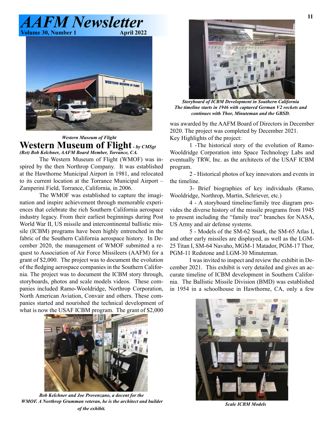# *AFM Newsletter*<br>april 2022 **Volume 30, Number 1**



#### *Western Museum of Flight* **Western Museum of Flight** *- by CMSgt (Ret) Bob Kelchner, AAFM Board Member, Torrance, CA.*

The Western Museum of Flight (WMOF) was inspired by the then Northrop Company. It was established at the Hawthorne Municipal Airport in 1981, and relocated to its current location at the Torrance Municipal Airport – Zamperini Field, Torrance, California, in 2006.

The WMOF was established to capture the imagination and inspire achievement through memorable experiences that celebrate the rich Southern California aerospace industry legacy. From their earliest beginnings during Post World War II, US missile and intercontinental ballistic missile (ICBM) programs have been highly entrenched in the fabric of the Southern California aerospace history. In December 2020, the management of WMOF submitted a request to Association of Air Force Missileers (AAFM) for a grant of \$2,000. The project was to document the evolution of the fledging aerospace companies in the Southern California. The project was to document the ICBM story through, storyboards, photos and scale models videos. These companies included Ramo-Wooldridge, Northrop Corporation, North American Aviation, Convair and others. These companies started and nourished the technical development of what is now the USAF ICBM program. The grant of \$2,000



*Bob Kelchner and Joe Provenzano, a docent for the WMOF. A Northrop Grumman veteran, he is the architect and builder of the exhibit.* 



*Storyboard of ICBM Development in Southern California The timeline starts in 1946 with captured German V2 rockets and continues with Thor, Minuteman and the GBSD.*

was awarded by the AAFM Board of Directors in December 2020. The project was completed by December 2021. Key Highlights of the project:

1 -The historical story of the evolution of Ramo-Wooldridge Corporation into Space Technology Labs and eventually TRW, Inc. as the architects of the USAF ICBM program.

2 - Historical photos of key innovators and events in the timeline.

3- Brief biographies of key individuals (Ramo, Wooldridge, Northrop, Martin, Schriever, etc.)

4 - A storyboard timeline/family tree diagram provides the diverse history of the missile programs from 1945 to present including the "family tree" branches for NASA, US Army and air defense systems.

5 - Models of the SM-62 Snark, the SM-65 Atlas I, and other early missiles are displayed, as well as the LGM-25 Titan I, SM-64 Navaho, MGM-1 Matador, PGM-17 Thor, PGM-11 Redstone and LGM-30 Minuteman.

I was invited to inspect and review the exhibit in December 2021. This exhibit is very detailed and gives an accurate timeline of ICBM development in Southern California. The Ballistic Missile Division (BMD) was established in 1954 in a schoolhouse in Hawthorne, CA, only a few



*Scale ICBM Models*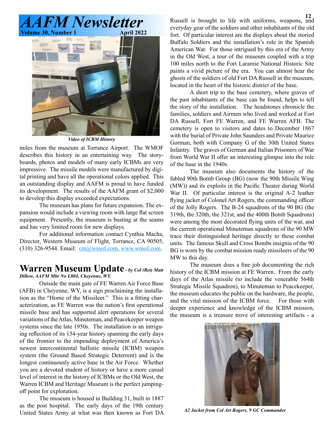

*Video of ICBM History*

miles from the museum at Torrance Airport. The WMOF describes this history in an entertaining way. The storyboards, photos and models of many early ICBMs are very impressive. The missile models were manufactured by digital printing and have all the operational colors applied. This an outstanding display and AAFM is proud to have funded its development. The results of the AAFM grant of \$2,000 to develop this display exceeded expectations.

The museum has plans for future expansion. The expansion would include a viewing room with large flat screen equipment. Presently, the museum is busting at the seams and has very limited room for new displays.

For additional information contact Cynthia Macha, Director, Western Museum of Flight, Torrance, CA 90505, (310) 326-9544. Email:  $cm@wmof.com$ , www.wmof.com.

#### **Warren Museum Update** *- by Col (Ret) Matt Dillow, AAFM Mbr No L804, Cheyenne, WY.*

Outside the main gate of FE Warren Air Force Base (AFB) in Cheyenne, WY, is a sign proclaiming the installation as the "Home of the Missileer." This is a fitting characterization, as FE Warren was the nation's first operational missile base and has supported alert operations for several variations of the Atlas, Minuteman, and Peacekeeper weapon systems since the late 1950s. The installation is an intriguing reflection of its 154-year history spanning the early days of the frontier to the impending deployment of America's newest intercontinental ballistic missile (ICBM) weapon system (the Ground Based Strategic Deterrent) and is the longest continuously active base in the Air Force. Whether you are a devoted student of history or have a more casual level of interest in the history of ICBMs or the Old West, the Warren ICBM and Heritage Museum is the perfect jumpingoff point for exploration.

The museum is housed in Building 31, built in 1887 as the post hospital. The early days of the 19th century United States Army at what was then known as Fort DA

Russell is brought to life with uniforms, weapons, and everyday gear of the soldiers and other inhabitants of the old fort. Of particular interest are the displays about the storied Buffalo Soldiers and the installation's role in the Spanish American War. For those intrigued by this era of the Army in the Old West, a tour of the museum coupled with a trip 100 miles north to the Fort Laramie National Historic Site paints a vivid picture of the era. You can almost hear the ghosts of the soldiers of old Fort DA Russell in the museum, located in the heart of the historic district of the base.

A short trip to the base cemetery, where graves of the past inhabitants of the base can be found, helps to tell the story of the installation. The headstones chronicle the families, soldiers and Airmen who lived and worked at Fort DA Russell, Fort FE Warren, and FE Warren AFB. The cemetery is open to visitors and dates to December 1867 with the burial of Private John Saunders and Private Maurice Gorman, both with Company G of the 30th United States Infantry. The graves of German and Italian Prisoners of War from World War II offer an interesting glimpse into the role of the base in the 1940s.

The museum also documents the history of the fabled 90th Bomb Group (BG) (now the 90th Missile Wing (MW)) and its exploits in the Pacific Theater during World War II. Of particular interest is the original A-2 leather flying jacket of Colonel Art Rogers, the commanding officer of the Jolly Rogers. The B-24 squadrons of the 90 BG (the 319th, the 320th, the 321st, and the 400th Bomb Squadrons) were among the most decorated flying units of the war, and the current operational Minuteman squadrons of the 90 MW trace their distinguished heritage directly to these combat units. The famous Skull and Cross Bombs insignia of the 90 BG is worn by the combat mission ready missileers of the 90 MW to this day.

The museum does a fine job documenting the rich history of the ICBM mission at FE Warren. From the early days of the Atlas missile (to include the venerable 564th Strategic Missile Squadron), to Minuteman to Peacekeeper, the museum educates the public on the hardware, the people, and the vital mission of the ICBM force. For those with deeper experience and knowledge of the ICBM mission, the museum is a treasure trove of interesting artifacts - a



*A2 Jacket from Col Art Rogers, 9 GC Commander*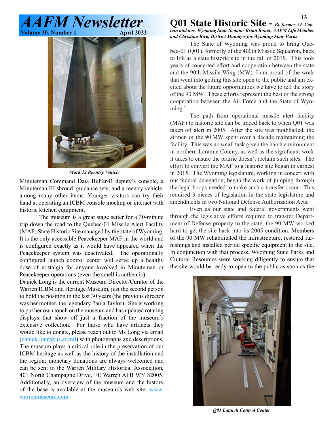



*Mark 12 Reentry Vehicle*

Minuteman Command Data Buffer-B deputy's console, a Minuteman III shroud, guidance sets, and a reentry vehicle, among many other items. Younger visitors can try their hand at operating an ICBM console mockup or interact with historic kitchen equipment.

The museum is a great stage setter for a 30-minute trip down the road to the Quebec-01 Missile Alert Facility (MAF) State Historic Site managed by the state of Wyoming. It is the only accessible Peacekeeper MAF in the world and is configured exactly as it would have appeared when the Peacekeeper system was deactivated. The operationally configured launch control center will serve up a healthy dose of nostalgia for anyone involved in Minuteman or Peacekeeper operations (even the smell is authentic).

Daniek Long is the current Museum Director/Curator of the Warren ICBM and Heritage Museum, just the second person to hold the position in the last 30 years (the previous director was her mother, the legendary Paula Taylor). She is working to put her own touch on the museum and has updated rotating displays that show off just a fraction of the museum's extensive collection. For those who have artifacts they would like to donate, please reach out to Ms Long via email  $(daniek.long@us.af.mil)$  with photographs and descriptions. The museum plays a critical role in the preservation of our ICBM heritage as well as the history of the installation and the region; monetary donations are always welcomed and can be sent to the Warren Military Historical Association, 401 North Champagne Drive, FE Warren AFB WY 82005. Additionally, an overview of the museum and the history of the base is available at the museum's web site: www. warrenmuseum.com.

#### **13 Q01 State Historic Site -** *By former AF Captain and now Wyoming State Senator Brian Boner, AAFM Life Member*

*and Christina Bird, District Manager for Wyoming State Parks*

The State of Wyoming was proud to bring Quebec-01 (Q01), formerly of the 400th Missile Squadron, back to life as a state historic site in the fall of 2019. This took years of concerted effort and cooperation between the state and the 90th Missile Wing (MW). I am proud of the work that went into getting this site open to the public and am excited about the future opportunities we have to tell the story of the 90 MW. These efforts represent the best of the strong cooperation between the Air Force and the State of Wyoming.`

The path from operational missile alert facility (MAF) to historic site can be traced back to when Q01 was taken off alert in 2005. After the site was mothballed, the airmen of the 90 MW spent over a decade maintaining the facility. This was no small task given the harsh environment in northern Laramie County, as well as the significant work it takes to ensure the prairie doesn't reclaim such sites. The effort to convert the MAF to a historic site began in earnest in 2015. The Wyoming legislature, working in concert with our federal delegation, began the work of jumping through the legal hoops needed to make such a transfer occur. This required 3 pieces of legislation in the state legislature and amendments in two National Defense Authorization Acts.

Even as our state and federal governments went through the legislative efforts required to transfer Department of Defense property to the state, the 90 MW worked hard to get the site back into its 2005 condition. Members of the 90 MW rehabilitated the infrastructure, restored furnishings and installed period specific equipment to the site. In conjunction with that process, Wyoming State Parks and Cultural Resources were working diligently to ensure that the site would be ready to open to the public as soon as the



*Q01 Launch Control Center*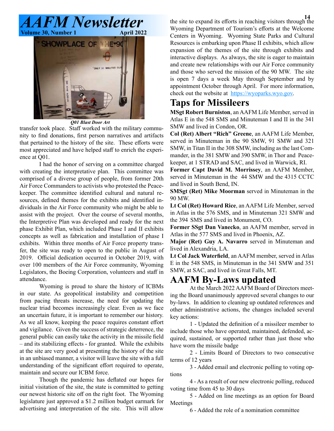

*Q01 Blast Door Art*

transfer took place. Staff worked with the military community to find donations, first person narratives and artifacts that pertained to the history of the site. These efforts were most appreciated and have helped staff to enrich the experience at Q01.

I had the honor of serving on a committee charged with creating the interpretative plan. This committee was comprised of a diverse group of people, from former 20th Air Force Commanders to activists who protested the Peacekeeper. The committee identified cultural and natural resources, defined themes for the exhibits and identified individuals in the Air Force community who might be able to assist with the project. Over the course of several months, the Interpretive Plan was developed and ready for the next phase Exhibit Plan, which included Phase I and II exhibits concepts as well as fabrication and installation of phase I exhibits. Within three months of Air Force property transfer, the site was ready to open to the public in August of 2019. Official dedication occurred in October 2019, with over 100 members of the Air Force community, Wyoming Legislators, the Boeing Corporation, volunteers and staff in attendance.

Wyoming is proud to share the history of ICBMs in our state. As geopolitical instability and competition from pacing threats increase, the need for updating the nuclear triad becomes increasingly clear. Even as we face an uncertain future, it is important to remember our history. As we all know, keeping the peace requires constant effort and vigilance. Given the success of strategic deterrence, the general public can easily take the activity in the missile field – and its stabilizing effects - for granted. While the exhibits at the site are very good at presenting the history of the site in an unbiased manner, a visitor will leave the site with a full understanding of the significant effort required to operate, maintain and secure our ICBM force.

Though the pandemic has deflated our hopes for initial visitation of the site, the state is committed to getting our newest historic site off on the right foot. The Wyoming legislature just approved a \$1.2 million budget earmark for advertising and interpretation of the site. This will allow

**14** the site to expand its efforts in reaching visitors through the Wyoming Department of Tourism's efforts at the Welcome Centers in Wyoming. Wyoming State Parks and Cultural Resources is embarking upon Phase II exhibits, which allow expansion of the themes of the site through exhibits and interactive displays. As always, the site is eager to maintain and create new relationships with our Air Force community and those who served the mission of the 90 MW. The site is open 7 days a week May through September and by appointment October through April. For more information, check out the website at https://wyoparks.wyo.gov.

# **Taps for Missileers**

**MSgt Robert Burniston**, an AAFM Life Member, served in Atlas E in the 548 SMS and Minuteman I and II in the 341 SMW and lived in Condon, OR.

**Col (Ret) Albert "Rich" Greene**, an AAFM Life Member, served in Minuteman in the 90 SMW, 91 SMW and 321 SMW, in Titan II in the 308 SMW, including as the last Commander, in the 381 SMW and 390 SMW, in Thor and Peacekeeper, at 1 STRAD and SAC, and lived in Warwick, RI.

**Former Capt David M. Morrissey**, an AAFM Member, served in Minuteman in the 44 SMW and the 4315 CCTC and lived in South Bend, IN.

**SMSgt (Ret) Mike Moorman** served in Minuteman in the 90 MW.

**Lt Col (Ret) Howard Rice**, an AAFM Life Member, served in Atlas in the 576 SMS, and in Minuteman 321 SMW and the 394 SMS and lived in Monument, CO.

**Former SSgt Dan Vanecko**, an AAFM member, served in Atlas in the 577 SMS and lived in Phoenix, AZ.

**Major (Ret) Guy A. Navarro** served in Minuteman and lived in Alexandria, LA.

**Lt Col Jack Waterfield**, an AAFM member, served in Atlas E in the 548 SMS, in Minuteman in the 341 SMW and 351 SMW, at SAC, and lived in Great Falls, MT.

# **AAFM By-Laws updated**

At the March 2022 AAFM Board of Directors meeting the Board unanimously approved several changes to our by-laws. In addition to cleaning up outdated references and other administrative actions, the changes included several key actions:

1 - Updated the definition of a missileer member to include those who have operated, maintained, defended, acquired, sustained, or supported rather than just those who have worn the missile badge

2 - Limits Board of Directors to two consecutive terms of 12 years

3 - Added email and electronic polling to voting options

4 - As a result of our new electronic polling, reduced voting time from 45 to 30 days

5 - Added on line meetings as an option for Board Meetings

6 - Added the role of a nomination committee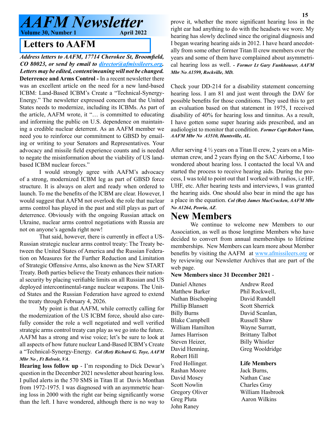#### **Letters to AAFM**

*Address letters to AAFM, 17714 Cherokee St, Broomfield, CO 80023, or send by email to director@afmissileers.org. Letters may be edited, content/meaning will not be changed.* **Deterrence and Arms Control -** In a recent newsletter there was an excellent article on the need for a new land-based ICBM: Land-Based ICBM's Create a "Technical-Synergy-Energy." The newsletter expressed concern that the United States needs to modernize, including its ICBMs. As part of the article, AAFM wrote, it "… is committed to educating and informing the public on U.S. dependence on maintaining a credible nuclear deterrent. As an AAFM member we need you to reinforce our commitment to GBSD by emailing or writing to your Senators and Representatives. Your advocacy and missile field experience counts and is needed to negate the misinformation about the viability of US landbased ICBM nuclear forces."

I would strongly agree with AAFM's advocacy of a strong, modernized ICBM leg as part of GBSD force structure. It is always on alert and ready when ordered to launch. To me the benefits of the ICBM are clear. However, I would suggest that AAFM not overlook the role that nuclear arms control has played in the past and still plays as part of deterrence. Obviously with the ongoing Russian attack on Ukraine, nuclear arms control negotiations with Russia are not on anyone's agenda right now!

That said, however, there is currently in effect a US-Russian strategic nuclear arms control treaty: The Treaty between the United States of America and the Russian Federation on Measures for the Further Reduction and Limitation of Strategic Offensive Arms, also known as the New START Treaty. Both parties believe the Treaty enhances their national security by placing verifiable limits on all Russian and US deployed intercontinental-range nuclear weapons. The United States and the Russian Federation have agreed to extend the treaty through February 4, 2026.

My point is that AAFM, while correctly calling for the modernization of the US ICBM force, should also carefully consider the role a well negotiated and well verified strategic arms control treaty can play as we go into the future. AAFM has a strong and wise voice; let's be sure to look at all aspects of how future nuclear Land-Based ICBM's Create a "Technical-Synergy-Energy. *Col (Ret) Richard G. Toye, AAFM Mbr No , Ft Belvoir, VA*.

**Hearing loss follow up** - I'm responding to Dick Dewar's question in the December 2021 newsletter about hearing loss. I pulled alerts in the 570 SMS in Titan II at Davis Monthan from 1972-1975. I was diagnosed with an asymmetric hearing loss in 2000 with the right ear being significantly worse than the left. I have wondered, although there is no way to prove it, whether the more significant hearing loss in the right ear had anything to do with the headsets we wore. My hearing has slowly declined since the original diagnosis and I began wearing hearing aids in 2012. I have heard anecdotally from some other former Titan II crew members over the years and some of them have complained about asymmetrical hearing loss as well. *- Former Lt Gary Funkhouser, AAFM Mbr No A1599, Rockville, MD.*

Check your DD-214 for a disability statement concerning hearing loss. I am 81 and just went through the DAV for possible benefits for those conditions. They used this to get an evaluation based on that statement in 1975, I received disability of 40% for hearing loss and tinnitus. As a result, I have gotten some super hearing aids prescribed, and an audiologist to monitor that condition. *Former Capt Robert Vann, AAFM Mbr No A3510, Huntsville, AL.*

After serving 4 ½ years on a Titan II crew, 2 years on a Minuteman crew, and 2 years flying on the SAC Airborne, I too wondered about hearing loss. I contacted the local VA and started the process to receive hearing aids. During the process, I was told to point out that I worked with radios, i.e HF, UHF, etc. After hearing tests and interviews, I was granted the hearing aids. One should also bear in mind the age has a place in the equation. *Col (Ret) James MacCracken, AAFM Mbr No A1264, Peoria, AZ*.

#### **New Members**

We continue to welcome new Members to our Association, as well as those longtime Members who have decided to convert from annual memberships to lifetime memberships. New Members can learn more about Member benefits by visiting the AAFM at www.afmissileers.org or by reviewing our Newsletter Archives that are part of the web page.

#### **New Members since 31 December 2021** -

Daniel Altenes Matthew Barker Nathan Bischoping Phillip Blansett Billy Burns Blake Campbell William Hamilton James Harrison Steven Heizer, David Henning, Robert Hill Fred Hollinger. Rashan Moore David Mosey Scott Nowlin Gregory Oliver Greg Pluta John Raney

Andrew Reed Phil Rockwell, David Rundell Scott Sherrick David Scanlan, Russell Shaw Wayne Surratt, Brittany Talbot Billy Whistler Greg Wooldridge

#### **Life Members**

Jack Burns, Nathan Case Charles Gray William Hasbrook Aaron Wilkins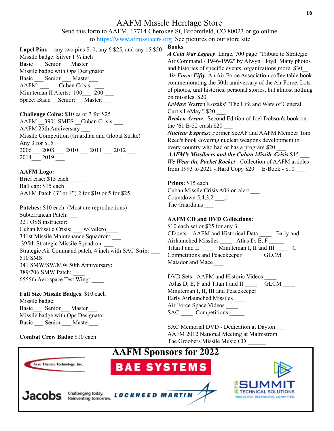#### AAFM Missile Heritage Store

Send this form to AAFM, 17714 Cherokee St, Broomfield, CO 80023 or go online

to https://www.afmissileers.org See pictures on our store site

**Lapel Pins** – any two pins \$10, any 6 \$25, and any 15 \$50 Missile badge: Silver 1 ¼ inch Basic Senior Master Missile badge with Ops Designator: Basic Senior Master AAFM: Cuban Crisis: Minuteman II Alerts: 100 \_\_\_ 200 \_\_\_ Space: Basic \_\_ Senior: \_\_ Master:

**Challenge Coins:** \$10 ea or 3 for \$25 AAFM 3901 SMES Cuban Crisis AAFM 25th Anniversary \_\_\_ Missile Competition (Guardian and Global Strike) Any 3 for \$15  $2006$   $2008$   $2010$   $2011$   $2012$   $2012$ 2014 2019

**AAFM Logo:** Brief case: \$15 each \_\_\_\_\_ Ball cap: \$15 each AAFM Patch (3" or 4") 2 for \$10 or 5 for \$25

Patches: \$10 each (Most are reproductions) Subterranean Patch: \_\_\_ 321 OSS instructor: Cuban Missile Crisis: \_\_\_ w/ velcro\_\_\_\_ 341st Missile Maintenance Squadron: \_\_\_ 395th Strategic Missile Squadron: \_\_\_ Strategic Air Command patch, 4 inch with SAC Strip: 510 SMS: \_\_\_ 341 SMW/SW/MW 50th Anniversary: 389/706 SMW Patch: \_\_\_\_ 6555th Aerospace Test Wing: \_\_\_\_

#### **Full Size Missile Badges**: \$10 each Missile badge: Basic Senior Master Missile badge with Ops Designator:

Basic Senior Master

**Combat Crew Badge** \$10 each\_\_\_

**Books**

*A Cold War Legacy*: Large, 700 page "Tribute to Strategic Air Command - 1946-1992" by Alwyn Lloyd. Many photos and histories of specific events, organizations,more \$30\_\_

*Air Force Fifty*: An Air Force Association coffee table book commemorating the 50th anniversary of the Air Force. Lots of photos, unit histories, personal stories, but almost nothing on missiles. \$20

*LeMay*: Warren Kozaks' "The Life and Wars of General Curtis LeMay." \$20 \_\_\_

*Broken Arrow* : Second Edition of Joel Dobson's book on the '61 B-52 crash \$20 \_\_\_

*Nuclear Express:* Former SecAF and AAFM Member Tom Reed's book covering nuclear weapons development in every country who had or has a program \$20 \_\_\_

*AAFM's Missileers and the Cuban Missile Crisis* \$15 \_\_\_ *We Wear the Pocket Rocket* - Collection of AAFM articles from 1993 to  $2021$  - Hard Copy  $$20$  E-Book -  $$10$ 

**Prints:** \$15 each Cuban Missile Crisis A06 on alert \_\_\_ Countdown  $5,4,3,2$ , 1 The Guardians

#### **AAFM CD and DVD Collections:**

\$10 each set or \$25 for any 3 CD sets - AAFM and Historical Data \_\_\_\_ Early and Airlaunched Missiles Atlas D, E, F Titan I and II \_\_\_\_\_ Minuteman I, II and III \_\_\_\_ C Competitions and Peacekeeper **GLCM** Matador and Mace \_\_\_

DVD Sets - AAFM and Historic Videos Atlas D, E, F and Titan I and II \_\_\_\_\_ GLCM \_\_\_\_ Minuteman I, II, III and Peacekeeper\_\_\_\_ Early Airlaunched Missiles \_\_\_\_ Air Force Space Videos \_\_\_\_\_ SAC Competitions

SAC Memorial DVD - Dedication at Dayton \_\_\_ AAFM 2012 National Meeting at Malmstrom \_\_\_\_ The Groobers Missile Music CD \_\_\_\_\_\_

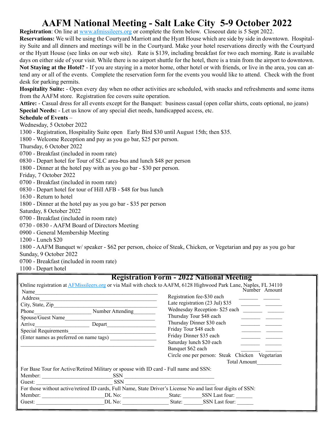# **AAFM National Meeting - Salt Lake City 5-9 October 2022**

**Registration**: On line at www.afmissileers.org or complete the form below. Closeout date is 5 Sept 2022.

**Reservations:** We will be using the Courtyard Marriott and the Hyatt House which are side by side in downtown. Hospitality Suite and all dinners and meetings will be in the Courtyard. Make your hotel reservations directly with the Courtyard or the Hyatt House (see links on our web site). Rate is \$139, including breakfast for two each morning. Rate is available days on either side of your visit. While there is no airport shuttle for the hotel, there is a train from the airport to downtown. **Not Staying at the Hotel?** - If you are staying in a motor home, other hotel or with friends, or live in the area, you can attend any or all of the events. Complete the reservation form for the events you would like to attend. Check with the front desk for parking permits.

**Hospitality Suite:** - Open every day when no other activities are scheduled, with snacks and refreshments and some items from the AAFM store. Registration fee covers suite operation.

**Attire:** - Casual dress for all events except for the Banquet: business casual (open collar shirts, coats optional, no jeans) **Special Needs:** - Let us know of any special diet needs, handicapped access, etc.

#### **Schedule of Events** –

Wednesday, 5 October 2022

1300 - Registration, Hospitality Suite open Early Bird \$30 until August 15th; then \$35.

1800 - Welcome Reception and pay as you go bar, \$25 per person.

Thursday, 6 October 2022

0700 - Breakfast (included in room rate)

0830 - Depart hotel for Tour of SLC area-bus and lunch \$48 per person

1800 - Dinner at the hotel pay with as you go bar - \$30 per person.

Friday, 7 October 2022

0700 - Breakfast (included in room rate)

0830 - Depart hotel for tour of Hill AFB - \$48 for bus lunch

1630 - Return to hotel

1800 - Dinner at the hotel pay as you go bar - \$35 per person

Saturday, 8 October 2022

0700 - Breakfast (included in room rate)

0730 - 0830 - AAFM Board of Directors Meeting

0900 - General Membership Meeting

1200 - Lunch \$20

1800 - AAFM Banquet w/ speaker - \$62 per person, choice of Steak, Chicken, or Vegetarian and pay as you go bar Sunday, 9 October 2022

0700 - Breakfast (included in room rate)

1100 - Depart hotel

#### **Registration Form - 2022 National Meeting**

|                                         | Online registration at AFMissileers.org or via Mail with check to AAFM, 6128 Highwood Park Lane, Naples, FL 34110 |                                                                      |                               |  |               |
|-----------------------------------------|-------------------------------------------------------------------------------------------------------------------|----------------------------------------------------------------------|-------------------------------|--|---------------|
| Name                                    |                                                                                                                   |                                                                      |                               |  | Number Amount |
| Address                                 |                                                                                                                   | Registration fee-\$30 each                                           |                               |  |               |
| City, State, Zip_                       |                                                                                                                   | Late registration (23 Jul) \$35                                      |                               |  |               |
| Phone                                   | Number Attending                                                                                                  |                                                                      | Wednesday Reception-\$25 each |  |               |
| Spouse/Guest Name                       |                                                                                                                   | Thursday Tour \$48 each                                              |                               |  |               |
| Arrive                                  | Depart                                                                                                            |                                                                      | Thursday Dinner \$30 each     |  |               |
| Special Requirements                    |                                                                                                                   |                                                                      | Friday Tour \$48 each         |  |               |
| (Enter names as preferred on name tags) |                                                                                                                   | Friday Dinner \$35 each                                              |                               |  |               |
|                                         |                                                                                                                   |                                                                      | Saturday lunch \$20 each      |  |               |
|                                         |                                                                                                                   | Banquet \$62 each<br>Circle one per person: Steak Chicken Vegetarian |                               |  |               |
|                                         |                                                                                                                   |                                                                      |                               |  |               |
|                                         |                                                                                                                   | Total Amount                                                         |                               |  |               |
|                                         | For Base Tour for Active/Retired Military or spouse with ID card - Full name and SSN:                             |                                                                      |                               |  |               |
| Member:                                 | <b>SSN</b>                                                                                                        |                                                                      |                               |  |               |
| Guest:                                  | <b>SSN</b>                                                                                                        |                                                                      |                               |  |               |
|                                         | For those without active/retired ID cards, Full Name, State Driver's License No and last four digits of SSN:      |                                                                      |                               |  |               |
| Member:                                 | DL No:                                                                                                            | State:                                                               | SSN Last four:                |  |               |
| Guest:                                  | DL No:                                                                                                            | State:                                                               | SSN Last four:                |  |               |